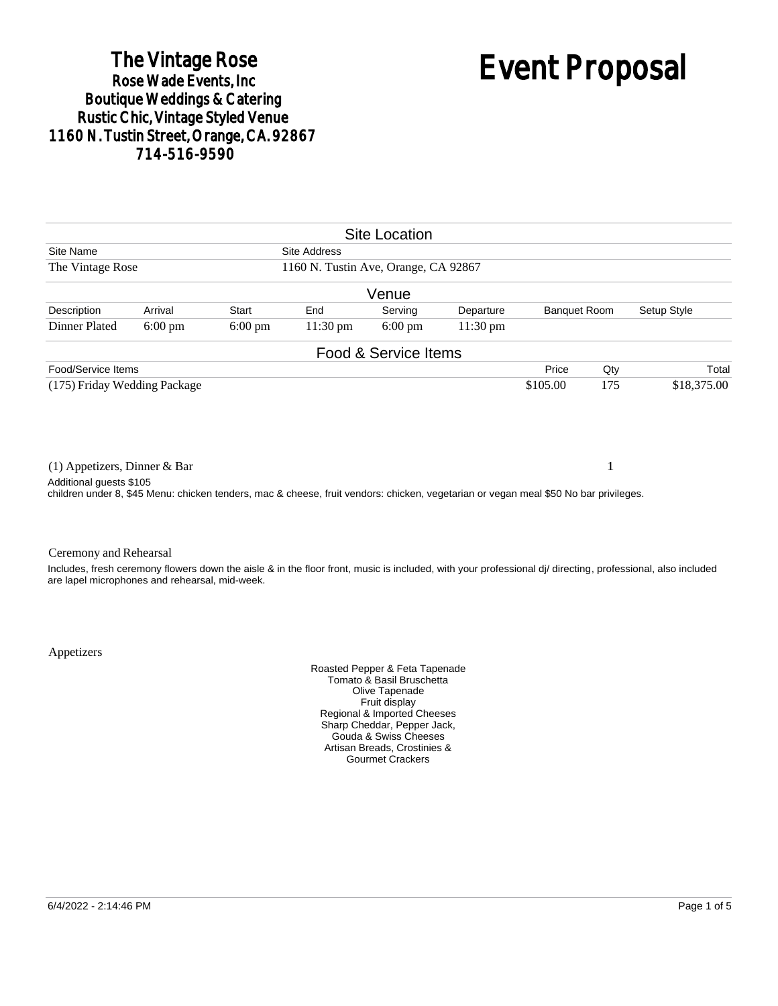# The Vintage Rose<br>Rose Wade Events, Inc. Boutique Weddings & Catering<br>Rustic Chic, Vintage Styled Venue 1160 N. Tustin Street, Orange, CA. 92867 714-516-9590

# Event Proposal

| <b>Site Location</b>                                                                                                                                                                              |                   |                   |                     |                      |           |          |                                    |                                                                                                                                                            |  |
|---------------------------------------------------------------------------------------------------------------------------------------------------------------------------------------------------|-------------------|-------------------|---------------------|----------------------|-----------|----------|------------------------------------|------------------------------------------------------------------------------------------------------------------------------------------------------------|--|
| Site Name                                                                                                                                                                                         |                   |                   | <b>Site Address</b> |                      |           |          |                                    |                                                                                                                                                            |  |
| The Vintage Rose<br>1160 N. Tustin Ave, Orange, CA 92867                                                                                                                                          |                   |                   |                     |                      |           |          |                                    |                                                                                                                                                            |  |
|                                                                                                                                                                                                   |                   |                   |                     | Venue                |           |          |                                    |                                                                                                                                                            |  |
| Description                                                                                                                                                                                       | Arrival           | Start             | End                 | Serving              | Departure |          | Setup Style<br><b>Banquet Room</b> |                                                                                                                                                            |  |
| Dinner Plated                                                                                                                                                                                     | $6:00 \text{ pm}$ | $6:00 \text{ pm}$ | $11:30 \text{ pm}$  | $6:00 \text{ pm}$    | 11:30 pm  |          |                                    |                                                                                                                                                            |  |
|                                                                                                                                                                                                   |                   |                   |                     | Food & Service Items |           |          |                                    |                                                                                                                                                            |  |
| Food/Service Items                                                                                                                                                                                |                   |                   |                     |                      |           | Price    | Qty                                | Total                                                                                                                                                      |  |
| (175) Friday Wedding Package                                                                                                                                                                      |                   |                   |                     |                      |           | \$105.00 | 175                                | \$18,375.00                                                                                                                                                |  |
| $(1)$ Appetizers, Dinner & Bar<br>Additional guests \$105<br>children under 8, \$45 Menu: chicken tenders, mac & cheese, fruit vendors: chicken, vegetarian or vegan meal \$50 No bar privileges. |                   |                   |                     |                      |           |          |                                    |                                                                                                                                                            |  |
| Ceremony and Rehearsal<br>are lapel microphones and rehearsal, mid-week.                                                                                                                          |                   |                   |                     |                      |           |          |                                    | Includes, fresh ceremony flowers down the aisle & in the floor front, music is included, with your professional di/ directing, professional, also included |  |

Appetizers

Roasted Pepper & Feta Tapenade Tomato & Basil Bruschetta Olive Tapenade Fruit display Regional & Imported Cheeses Sharp Cheddar, Pepper Jack, Gouda & Swiss Cheeses Artisan Breads, Crostinies & Gourmet Crackers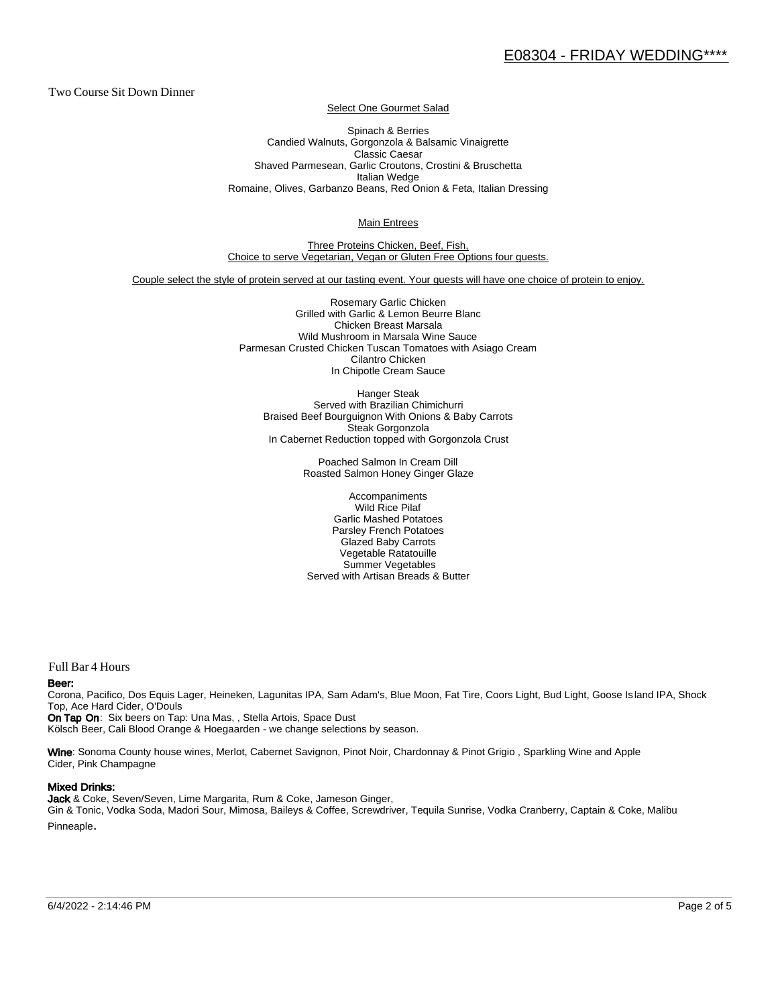Two Course Sit Down Dinner

Select One Gourmet Salad

Spinach & Berries Candied Walnuts, Gorgonzola & Balsamic Vinaigrette Classic Caesar Shaved Parmesean, Garlic Croutons, Crostini & Bruschetta Italian Wedge Romaine, Olives, Garbanzo Beans, Red Onion & Feta, Italian Dressing

Main Entrees

Three Proteins Chicken, Beef, Fish, Choice to serve Vegetarian, Vegan or Gluten Free Options four guests.

Couple select the style of protein served at our tasting event. Your guests will have one choice of protein to enjoy.

Rosemary Garlic Chicken Grilled with Garlic & Lemon Beurre Blanc Chicken Breast Marsala Wild Mushroom in Marsala Wine Sauce Parmesan Crusted Chicken Tuscan Tomatoes with Asiago Cream Cilantro Chicken In Chipotle Cream Sauce

Hanger Steak Served with Brazilian Chimichurri Braised Beef Bourguignon With Onions & Baby Carrots Steak Gorgonzola In Cabernet Reduction topped with Gorgonzola Crust

> Poached Salmon In Cream Dill Roasted Salmon Honey Ginger Glaze

Accompaniments Wild Rice Pilaf Garlic Mashed Potatoes Parsley French Potatoes Glazed Baby Carrots Vegetable Ratatouille Summer Vegetables Served with Artisan Breads & Butter

Full Bar 4 Hours

#### Beer:

Corona, Pacifico, Dos Equis Lager, Heineken, Lagunitas IPA, Sam Adam's, Blue Moon, Fat Tire, Coors Light, Bud Light, Goose Is land IPA, Shock Top, Ace Hard Cider, O'Douls

On Tap On: Six beers on Tap: Una Mas, , Stella Artois, Space Dust Kölsch Beer, Cali Blood Orange & Hoegaarden - we change selections by season.

Wine: Sonoma County house wines, Merlot, Cabernet Savignon, Pinot Noir, Chardonnay & Pinot Grigio, Sparkling Wine and Apple Cider, Pink Champagne

#### Mixed Drinks:

Jack & Coke, Seven/Seven, Lime Margarita, Rum & Coke, Jameson Ginger, Gin & Tonic, Vodka Soda, Madori Sour, Mimosa, Baileys & Coffee, Screwdriver, Tequila Sunrise, Vodka Cranberry, Captain & Coke, Malibu Pinneaple.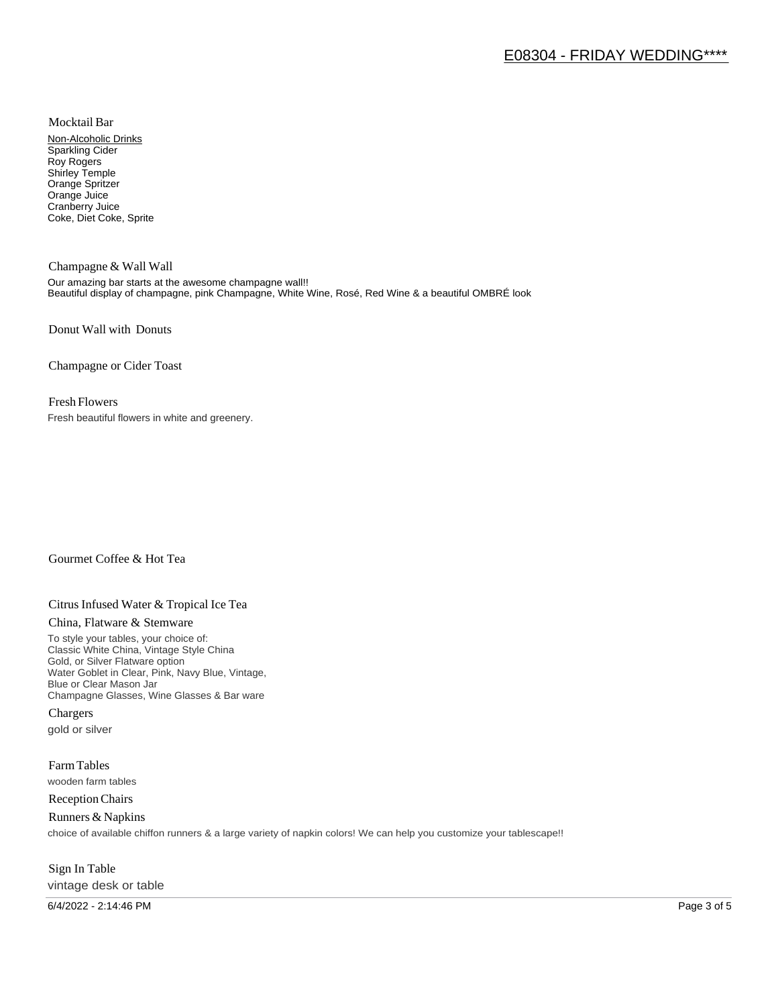Mocktail Bar

Non-Alcoholic Drinks Sparkling Cider Roy Rogers Shirley Temple Orange Spritzer Orange Juice Cranberry Juice Coke, Diet Coke, Sprite

Champagne & Wall Wall Our amazing bar starts at the awesome champagne wall!! Beautiful display of champagne, pink Champagne, White Wine, Rosé, Red Wine & a beautiful OMBRÉ look

Donut Wall with Donuts

Champagne or Cider Toast

### Fresh Flowers

Fresh beautiful flowers in white and greenery.

# Gourmet Coffee & Hot Tea

# Citrus Infused Water & Tropical Ice Tea

#### China, Flatware & Stemware

To style your tables, your choice of: Classic White China, Vintage Style China Gold, or Silver Flatware option Water Goblet in Clear, Pink, Navy Blue, Vintage, Blue or Clear Mason Jar Champagne Glasses, Wine Glasses & Bar ware

Chargers gold or silver

Farm Tables wooden farm tables

Reception Chairs

Runners & Napkins choice of available chiffon runners & a large variety of napkin colors! We can help you customize your tablescape!!

# Sign In Table vintage desk or table

6/4/2022 - 2:14:46 PM Page 3 of 5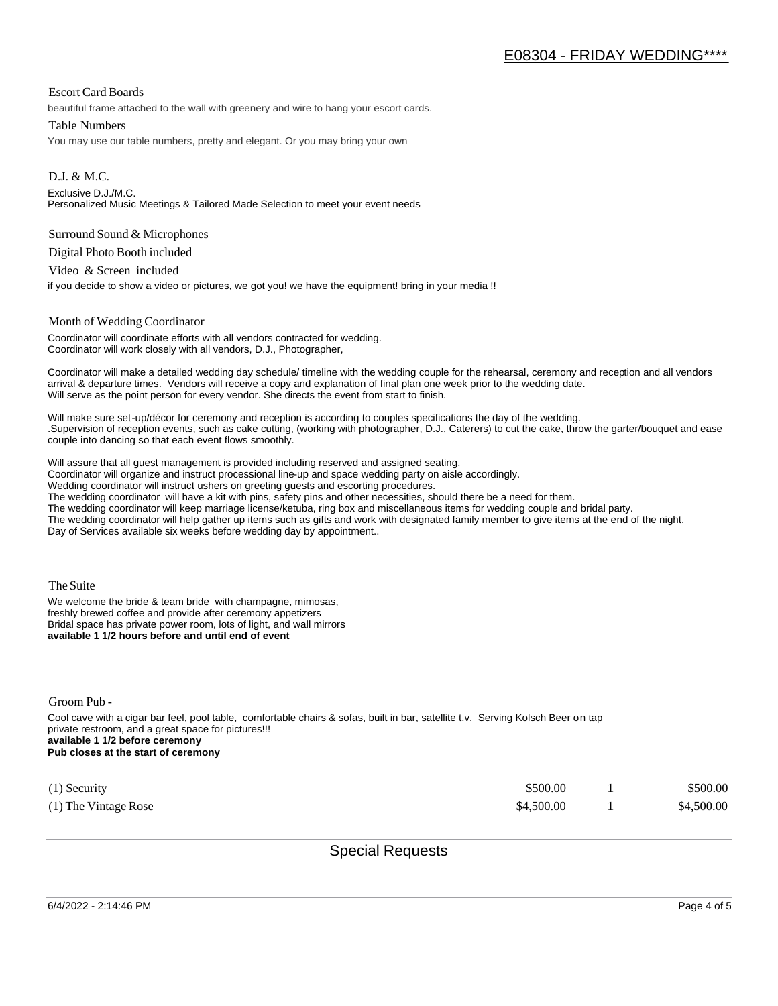## Escort Card Boards

beautiful frame attached to the wall with greenery and wire to hang your escort cards.

#### Table Numbers

You may use our table numbers, pretty and elegant. Or you may bring your own

D.J. & M.C. Exclusive D.J./M.C. Personalized Music Meetings & Tailored Made Selection to meet your event needs

#### Surround Sound & Microphones

Digital Photo Booth included

Video & Screen included

if you decide to show a video or pictures, we got you! we have the equipment! bring in your media !!

#### Month of Wedding Coordinator

Coordinator will coordinate efforts with all vendors contracted for wedding. Coordinator will work closely with all vendors, D.J., Photographer,

Coordinator will make a detailed wedding day schedule/ timeline with the wedding couple for the rehearsal, ceremony and reception and all vendors arrival & departure times. Vendors will receive a copy and explanation of final plan one week prior to the wedding date. Will serve as the point person for every vendor. She directs the event from start to finish.

Will make sure set-up/décor for ceremony and reception is according to couples specifications the day of the wedding. .Supervision of reception events, such as cake cutting, (working with photographer, D.J., Caterers) to cut the cake, throw the garter/bouquet and ease couple into dancing so that each event flows smoothly.

Will assure that all guest management is provided including reserved and assigned seating.

Coordinator will organize and instruct processional line-up and space wedding party on aisle accordingly.

Wedding coordinator will instruct ushers on greeting guests and escorting procedures.

The wedding coordinator will have a kit with pins, safety pins and other necessities, should there be a need for them.

The wedding coordinator will keep marriage license/ketuba, ring box and miscellaneous items for wedding couple and bridal party.

The wedding coordinator will help gather up items such as gifts and work with designated family member to give items at the end of the night. Day of Services available six weeks before wedding day by appointment..

The Suite

We welcome the bride & team bride with champagne, mimosas, freshly brewed coffee and provide after ceremony appetizers Bridal space has private power room, lots of light, and wall mirrors **available 1 1/2 hours before and until end of event** 

Groom Pub -

Cool cave with a cigar bar feel, pool table, comfortable chairs & sofas, built in bar, satellite t.v. Serving Kolsch Beer on tap private restroom, and a great space for pictures!!! **available 1 1/2 before ceremony Pub closes at the start of ceremony**

| $(1)$ Security         | \$500.00   | \$500.00   |
|------------------------|------------|------------|
| $(1)$ The Vintage Rose | \$4,500.00 | \$4,500.00 |

Special Requests